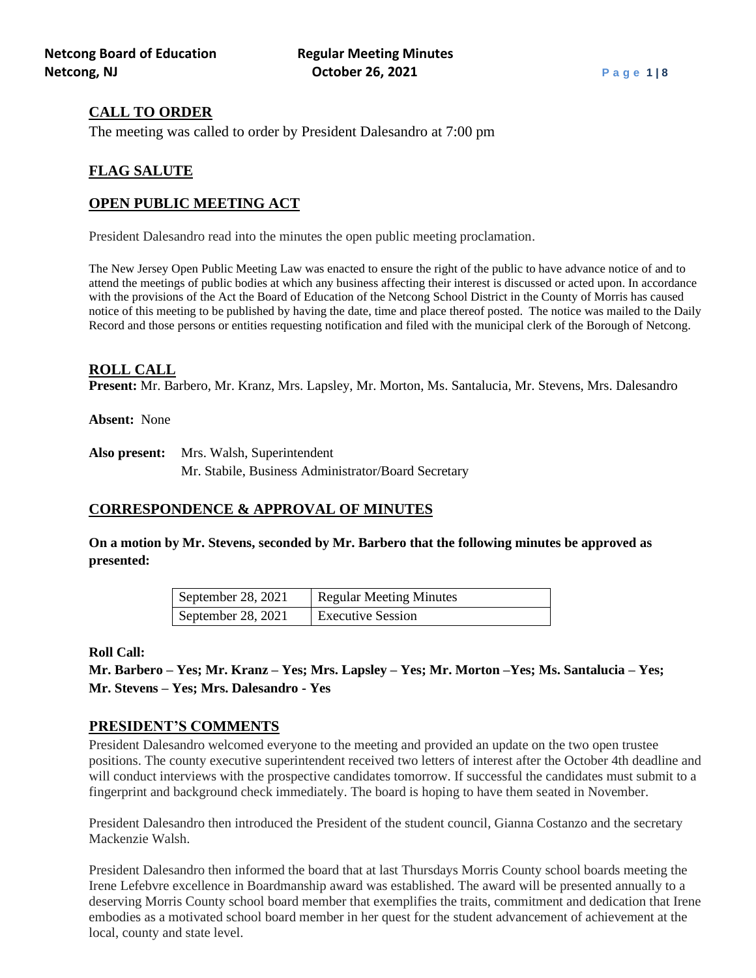# **CALL TO ORDER**

The meeting was called to order by President Dalesandro at 7:00 pm

# **FLAG SALUTE**

## **OPEN PUBLIC MEETING ACT**

President Dalesandro read into the minutes the open public meeting proclamation.

The New Jersey Open Public Meeting Law was enacted to ensure the right of the public to have advance notice of and to attend the meetings of public bodies at which any business affecting their interest is discussed or acted upon. In accordance with the provisions of the Act the Board of Education of the Netcong School District in the County of Morris has caused notice of this meeting to be published by having the date, time and place thereof posted. The notice was mailed to the Daily Record and those persons or entities requesting notification and filed with the municipal clerk of the Borough of Netcong.

#### **ROLL CALL**

**Present:** Mr. Barbero, Mr. Kranz, Mrs. Lapsley, Mr. Morton, Ms. Santalucia, Mr. Stevens, Mrs. Dalesandro

**Absent:** None

**Also present:** Mrs. Walsh, Superintendent Mr. Stabile, Business Administrator/Board Secretary

## **CORRESPONDENCE & APPROVAL OF MINUTES**

**On a motion by Mr. Stevens, seconded by Mr. Barbero that the following minutes be approved as presented:**

| September 28, 2021 | Regular Meeting Minutes  |
|--------------------|--------------------------|
| September 28, 2021 | <b>Executive Session</b> |

#### **Roll Call:**

**Mr. Barbero – Yes; Mr. Kranz – Yes; Mrs. Lapsley – Yes; Mr. Morton –Yes; Ms. Santalucia – Yes; Mr. Stevens – Yes; Mrs. Dalesandro - Yes**

#### **PRESIDENT'S COMMENTS**

President Dalesandro welcomed everyone to the meeting and provided an update on the two open trustee positions. The county executive superintendent received two letters of interest after the October 4th deadline and will conduct interviews with the prospective candidates tomorrow. If successful the candidates must submit to a fingerprint and background check immediately. The board is hoping to have them seated in November.

President Dalesandro then introduced the President of the student council, Gianna Costanzo and the secretary Mackenzie Walsh.

President Dalesandro then informed the board that at last Thursdays Morris County school boards meeting the Irene Lefebvre excellence in Boardmanship award was established. The award will be presented annually to a deserving Morris County school board member that exemplifies the traits, commitment and dedication that Irene embodies as a motivated school board member in her quest for the student advancement of achievement at the local, county and state level.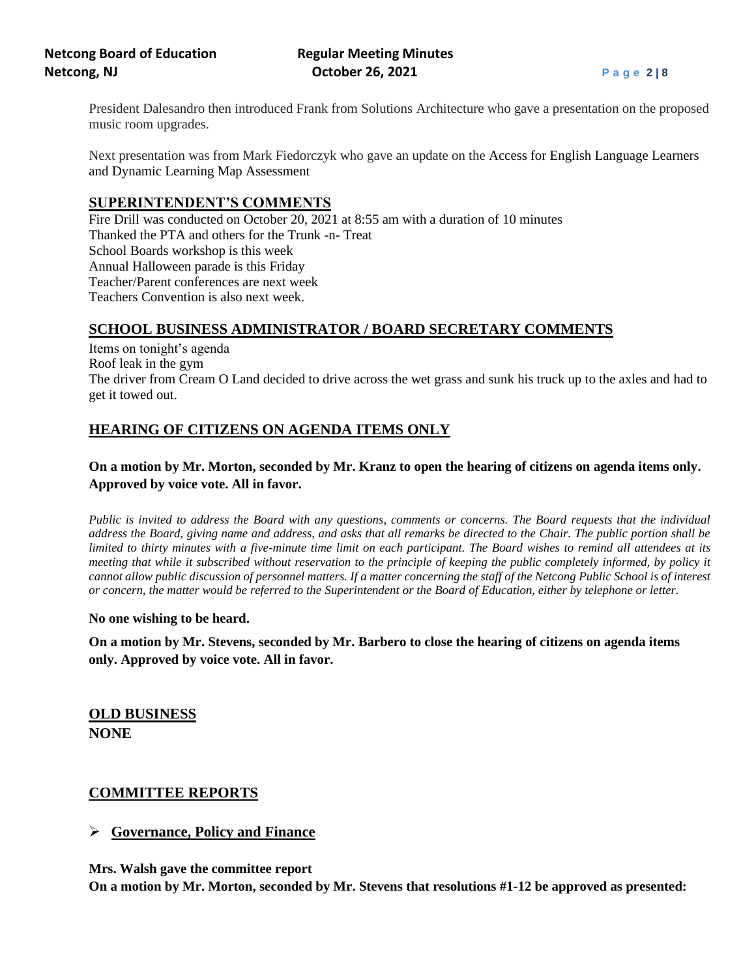President Dalesandro then introduced Frank from Solutions Architecture who gave a presentation on the proposed music room upgrades.

Next presentation was from Mark Fiedorczyk who gave an update on the Access for English Language Learners and Dynamic Learning Map Assessment

## **SUPERINTENDENT'S COMMENTS**

 Fire Drill was conducted on October 20, 2021 at 8:55 am with a duration of 10 minutes Thanked the PTA and others for the Trunk -n- Treat School Boards workshop is this week Annual Halloween parade is this Friday Teacher/Parent conferences are next week Teachers Convention is also next week.

# **SCHOOL BUSINESS ADMINISTRATOR / BOARD SECRETARY COMMENTS**

Items on tonight's agenda Roof leak in the gym The driver from Cream O Land decided to drive across the wet grass and sunk his truck up to the axles and had to get it towed out.

# **HEARING OF CITIZENS ON AGENDA ITEMS ONLY**

# **On a motion by Mr. Morton, seconded by Mr. Kranz to open the hearing of citizens on agenda items only. Approved by voice vote. All in favor.**

*Public is invited to address the Board with any questions, comments or concerns. The Board requests that the individual address the Board, giving name and address, and asks that all remarks be directed to the Chair. The public portion shall be limited to thirty minutes with a five-minute time limit on each participant. The Board wishes to remind all attendees at its meeting that while it subscribed without reservation to the principle of keeping the public completely informed, by policy it cannot allow public discussion of personnel matters. If a matter concerning the staff of the Netcong Public School is of interest or concern, the matter would be referred to the Superintendent or the Board of Education, either by telephone or letter.*

#### **No one wishing to be heard.**

**On a motion by Mr. Stevens, seconded by Mr. Barbero to close the hearing of citizens on agenda items only. Approved by voice vote. All in favor.**

**OLD BUSINESS NONE**

## **COMMITTEE REPORTS**

## ➢ **Governance, Policy and Finance**

**Mrs. Walsh gave the committee report**

**On a motion by Mr. Morton, seconded by Mr. Stevens that resolutions #1-12 be approved as presented:**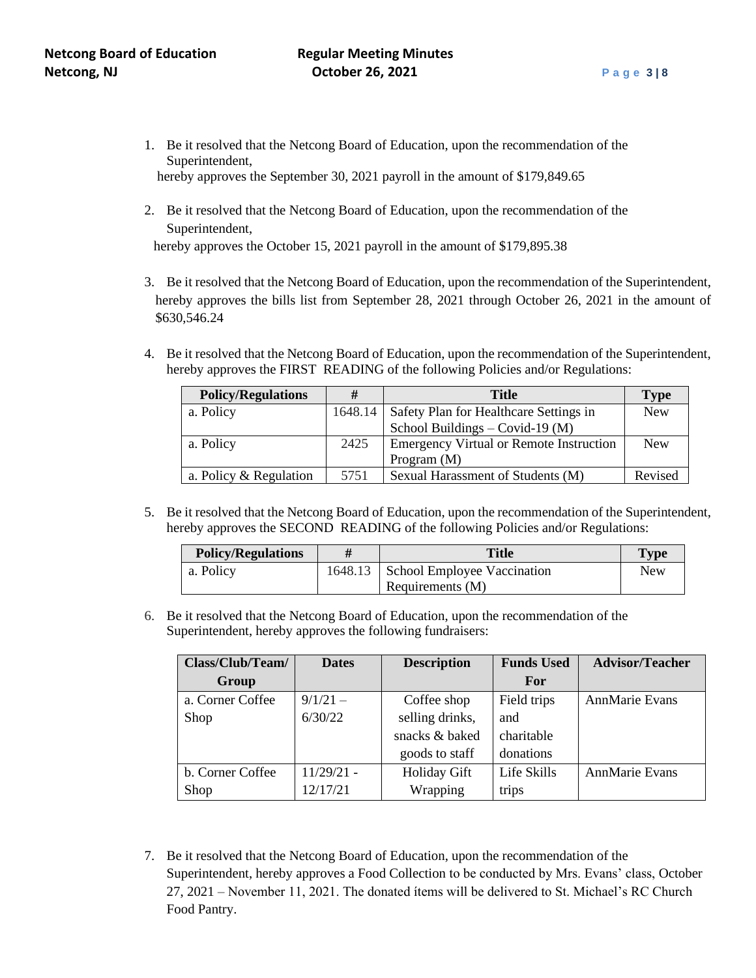- 1. Be it resolved that the Netcong Board of Education, upon the recommendation of the Superintendent, hereby approves the September 30, 2021 payroll in the amount of \$179,849.65
- 2. Be it resolved that the Netcong Board of Education, upon the recommendation of the Superintendent,

hereby approves the October 15, 2021 payroll in the amount of \$179,895.38

- 3. Be it resolved that the Netcong Board of Education, upon the recommendation of the Superintendent, hereby approves the bills list from September 28, 2021 through October 26, 2021 in the amount of \$630,546.24
- 4. Be it resolved that the Netcong Board of Education, upon the recommendation of the Superintendent, hereby approves the FIRST READING of the following Policies and/or Regulations:

| <b>Policy/Regulations</b> | #       | <b>Title</b>                                   | <b>Type</b> |
|---------------------------|---------|------------------------------------------------|-------------|
| a. Policy                 | 1648.14 | Safety Plan for Healthcare Settings in         | <b>New</b>  |
|                           |         | School Buildings - Covid-19 (M)                |             |
| a. Policy                 | 2425    | <b>Emergency Virtual or Remote Instruction</b> | <b>New</b>  |
|                           |         | Program $(M)$                                  |             |
| a. Policy & Regulation    | 5751    | Sexual Harassment of Students (M)              | Revised     |

5. Be it resolved that the Netcong Board of Education, upon the recommendation of the Superintendent, hereby approves the SECOND READING of the following Policies and/or Regulations:

| <b>Policy/Regulations</b> | Title                                 | <b>Type</b> |
|---------------------------|---------------------------------------|-------------|
| a. Policy                 | 1648.13   School Employee Vaccination | <b>New</b>  |
|                           | Requirements (M)                      |             |

6. Be it resolved that the Netcong Board of Education, upon the recommendation of the Superintendent, hereby approves the following fundraisers:

| Class/Club/Team/ | <b>Dates</b> | <b>Description</b>  | <b>Funds Used</b> | <b>Advisor/Teacher</b> |
|------------------|--------------|---------------------|-------------------|------------------------|
| Group            |              |                     | <b>For</b>        |                        |
| a. Corner Coffee | $9/1/21 -$   | Coffee shop         | Field trips       | <b>AnnMarie Evans</b>  |
| Shop             | 6/30/22      | selling drinks,     | and               |                        |
|                  |              | snacks & baked      | charitable        |                        |
|                  |              | goods to staff      | donations         |                        |
| b. Corner Coffee | $11/29/21$ - | <b>Holiday Gift</b> | Life Skills       | <b>AnnMarie Evans</b>  |
| Shop             | 12/17/21     | Wrapping            | trips             |                        |

7. Be it resolved that the Netcong Board of Education, upon the recommendation of the Superintendent, hereby approves a Food Collection to be conducted by Mrs. Evans' class, October 27, 2021 – November 11, 2021. The donated ítems will be delivered to St. Michael's RC Church Food Pantry.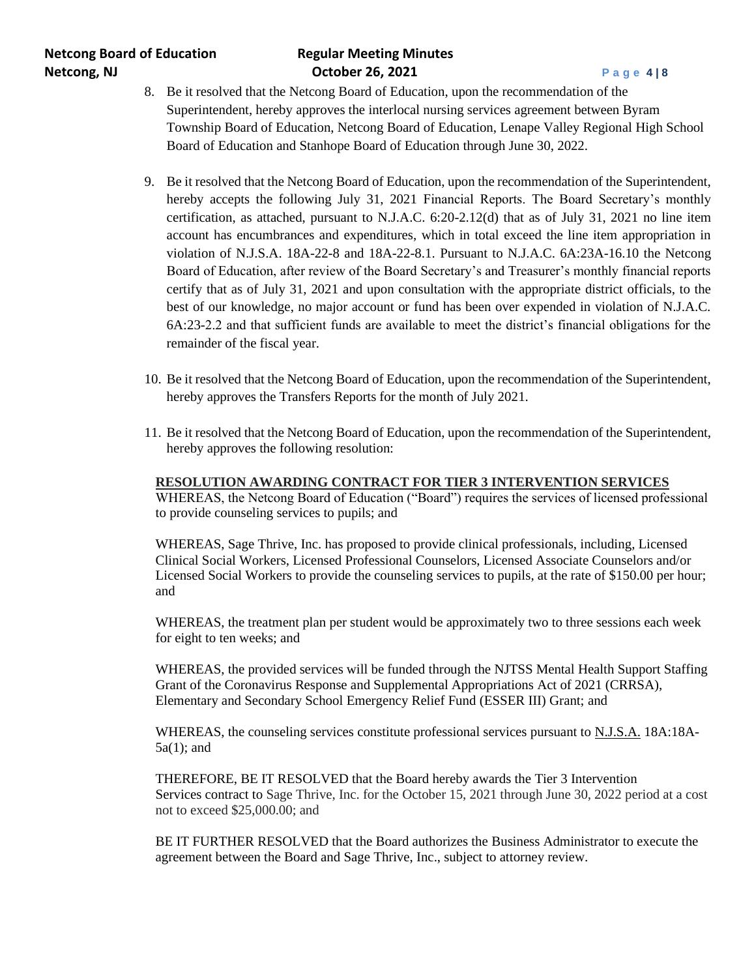- 8. Be it resolved that the Netcong Board of Education, upon the recommendation of the Superintendent, hereby approves the interlocal nursing services agreement between Byram Township Board of Education, Netcong Board of Education, Lenape Valley Regional High School Board of Education and Stanhope Board of Education through June 30, 2022.
- 9. Be it resolved that the Netcong Board of Education, upon the recommendation of the Superintendent, hereby accepts the following July 31, 2021 Financial Reports. The Board Secretary's monthly certification, as attached, pursuant to N.J.A.C. 6:20-2.12(d) that as of July 31, 2021 no line item account has encumbrances and expenditures, which in total exceed the line item appropriation in violation of N.J.S.A. 18A-22-8 and 18A-22-8.1. Pursuant to N.J.A.C. 6A:23A-16.10 the Netcong Board of Education, after review of the Board Secretary's and Treasurer's monthly financial reports certify that as of July 31, 2021 and upon consultation with the appropriate district officials, to the best of our knowledge, no major account or fund has been over expended in violation of N.J.A.C. 6A:23-2.2 and that sufficient funds are available to meet the district's financial obligations for the remainder of the fiscal year.
- 10. Be it resolved that the Netcong Board of Education, upon the recommendation of the Superintendent, hereby approves the Transfers Reports for the month of July 2021.
- 11. Be it resolved that the Netcong Board of Education, upon the recommendation of the Superintendent, hereby approves the following resolution:

#### **RESOLUTION AWARDING CONTRACT FOR TIER 3 INTERVENTION SERVICES**

WHEREAS, the Netcong Board of Education ("Board") requires the services of licensed professional to provide counseling services to pupils; and

WHEREAS, Sage Thrive, Inc. has proposed to provide clinical professionals, including, Licensed Clinical Social Workers, Licensed Professional Counselors, Licensed Associate Counselors and/or Licensed Social Workers to provide the counseling services to pupils, at the rate of \$150.00 per hour; and

WHEREAS, the treatment plan per student would be approximately two to three sessions each week for eight to ten weeks; and

WHEREAS, the provided services will be funded through the NJTSS Mental Health Support Staffing Grant of the Coronavirus Response and Supplemental Appropriations Act of 2021 (CRRSA), Elementary and Secondary School Emergency Relief Fund (ESSER III) Grant; and

WHEREAS, the counseling services constitute professional services pursuant to N.J.S.A. 18A:18A-5a(1); and

THEREFORE, BE IT RESOLVED that the Board hereby awards the Tier 3 Intervention Services contract to Sage Thrive, Inc. for the October 15, 2021 through June 30, 2022 period at a cost not to exceed \$25,000.00; and

BE IT FURTHER RESOLVED that the Board authorizes the Business Administrator to execute the agreement between the Board and Sage Thrive, Inc., subject to attorney review.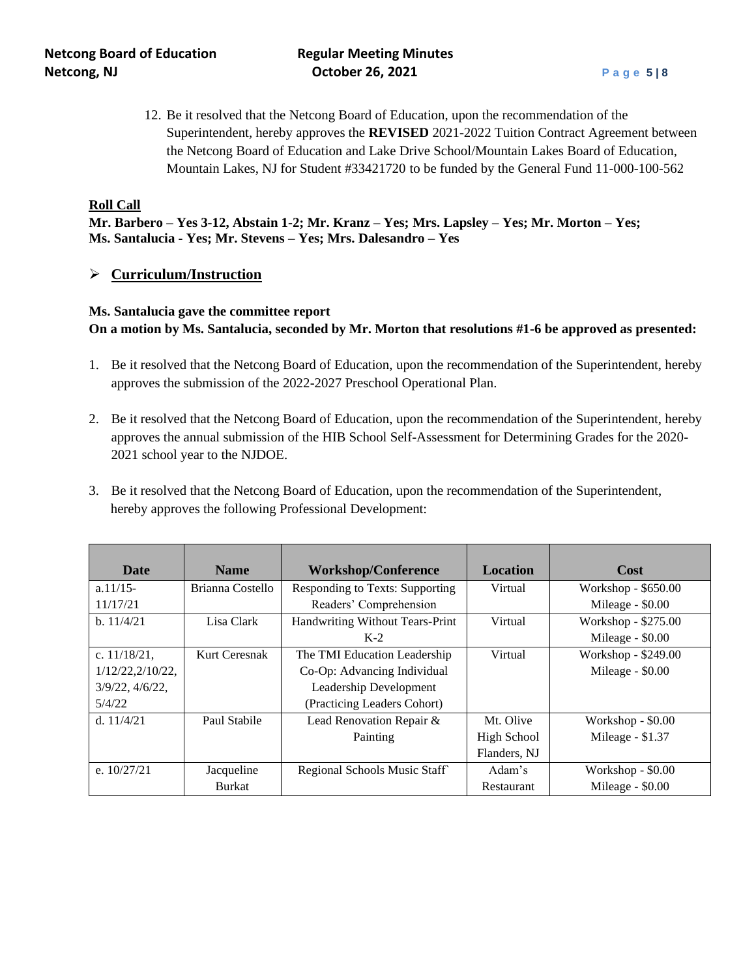12. Be it resolved that the Netcong Board of Education, upon the recommendation of the Superintendent, hereby approves the **REVISED** 2021-2022 Tuition Contract Agreement between the Netcong Board of Education and Lake Drive School/Mountain Lakes Board of Education, Mountain Lakes, NJ for Student #33421720 to be funded by the General Fund 11-000-100-562

#### **Roll Call**

**Mr. Barbero – Yes 3-12, Abstain 1-2; Mr. Kranz – Yes; Mrs. Lapsley – Yes; Mr. Morton – Yes; Ms. Santalucia - Yes; Mr. Stevens – Yes; Mrs. Dalesandro – Yes**

#### ➢ **Curriculum/Instruction**

## **Ms. Santalucia gave the committee report On a motion by Ms. Santalucia, seconded by Mr. Morton that resolutions #1-6 be approved as presented:**

- 1. Be it resolved that the Netcong Board of Education, upon the recommendation of the Superintendent, hereby approves the submission of the 2022-2027 Preschool Operational Plan.
- 2. Be it resolved that the Netcong Board of Education, upon the recommendation of the Superintendent, hereby approves the annual submission of the HIB School Self-Assessment for Determining Grades for the 2020- 2021 school year to the NJDOE.
- 3. Be it resolved that the Netcong Board of Education, upon the recommendation of the Superintendent, hereby approves the following Professional Development:

| <b>Date</b>      | <b>Name</b>      | <b>Workshop/Conference</b>      | <b>Location</b> | Cost                |
|------------------|------------------|---------------------------------|-----------------|---------------------|
| $a.11/15-$       | Brianna Costello | Responding to Texts: Supporting | Virtual         | Workshop - \$650.00 |
| 11/17/21         |                  | Readers' Comprehension          |                 | Mileage - \$0.00    |
| b. 11/4/21       | Lisa Clark       | Handwriting Without Tears-Print | Virtual         | Workshop - \$275.00 |
|                  |                  | $K-2$                           |                 | Mileage - \$0.00    |
| c. $11/18/21$ ,  | Kurt Ceresnak    | The TMI Education Leadership    | Virtual         | Workshop - \$249.00 |
| 1/12/22,2/10/22, |                  | Co-Op: Advancing Individual     |                 | Mileage - \$0.00    |
| 3/9/22, 4/6/22,  |                  | Leadership Development          |                 |                     |
| 5/4/22           |                  | (Practicing Leaders Cohort)     |                 |                     |
| d. $11/4/21$     | Paul Stabile     | Lead Renovation Repair &        | Mt. Olive       | Workshop - \$0.00   |
|                  |                  | Painting                        | High School     | Mileage - \$1.37    |
|                  |                  |                                 | Flanders, NJ    |                     |
| e. $10/27/21$    | Jacqueline       | Regional Schools Music Staff    | Adam's          | Workshop - \$0.00   |
|                  | <b>Burkat</b>    |                                 | Restaurant      | Mileage - \$0.00    |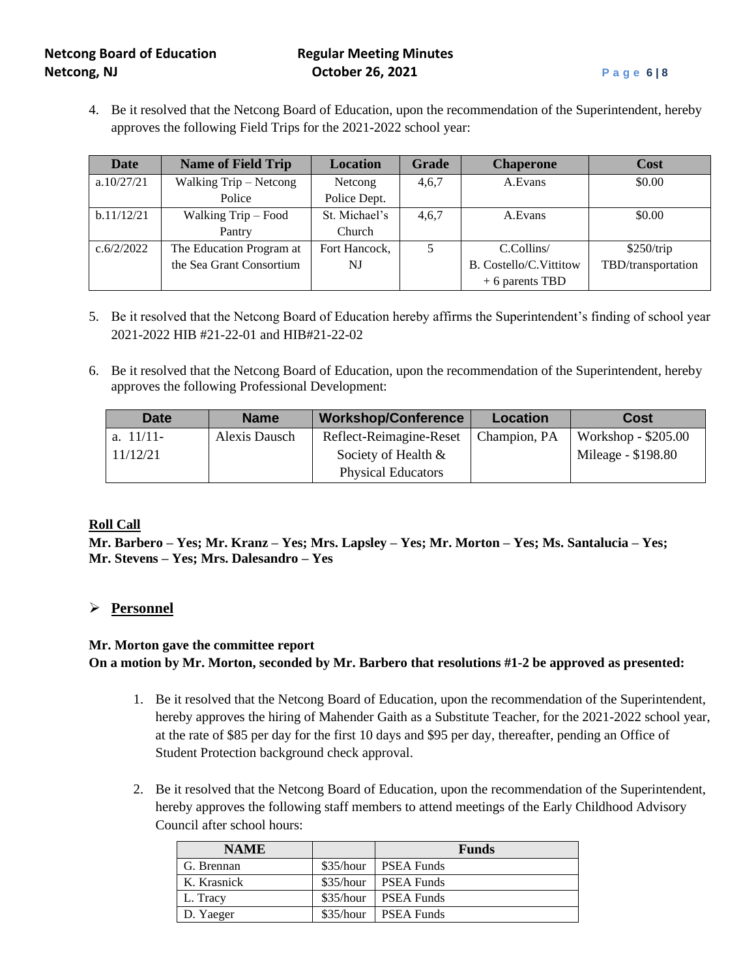4. Be it resolved that the Netcong Board of Education, upon the recommendation of the Superintendent, hereby approves the following Field Trips for the 2021-2022 school year:

| <b>Date</b> | <b>Name of Field Trip</b> | <b>Location</b> | <b>Grade</b> | <b>Chaperone</b>        | Cost               |
|-------------|---------------------------|-----------------|--------------|-------------------------|--------------------|
| a.10/27/21  | Walking Trip – Netcong    | Netcong         | 4,6,7        | A.Evans                 | \$0.00             |
|             | Police                    | Police Dept.    |              |                         |                    |
| b.11/12/21  | Walking Trip – Food       | St. Michael's   | 4,6,7        | A.Evans                 | \$0.00             |
|             | Pantry                    | Church          |              |                         |                    |
| c.6/2/2022  | The Education Program at  | Fort Hancock,   | 5            | C.Collins/              | \$250/trip         |
|             | the Sea Grant Consortium  | NJ              |              | B. Costello/C. Vittitow | TBD/transportation |
|             |                           |                 |              | $+6$ parents TBD        |                    |

- 5. Be it resolved that the Netcong Board of Education hereby affirms the Superintendent's finding of school year 2021-2022 HIB #21-22-01 and HIB#21-22-02
- 6. Be it resolved that the Netcong Board of Education, upon the recommendation of the Superintendent, hereby approves the following Professional Development:

| Date         | <b>Name</b>   | <b>Workshop/Conference</b> | <b>Location</b> | <b>Cost</b>         |
|--------------|---------------|----------------------------|-----------------|---------------------|
| a. $11/11$ - | Alexis Dausch | Reflect-Reimagine-Reset    | Champion, PA    | Workshop - \$205.00 |
| 11/12/21     |               | Society of Health &        |                 | Mileage - \$198.80  |
|              |               | <b>Physical Educators</b>  |                 |                     |

#### **Roll Call**

**Mr. Barbero – Yes; Mr. Kranz – Yes; Mrs. Lapsley – Yes; Mr. Morton – Yes; Ms. Santalucia – Yes; Mr. Stevens – Yes; Mrs. Dalesandro – Yes**

## ➢ **Personnel**

## **Mr. Morton gave the committee report On a motion by Mr. Morton, seconded by Mr. Barbero that resolutions #1-2 be approved as presented:**

- 1. Be it resolved that the Netcong Board of Education, upon the recommendation of the Superintendent, hereby approves the hiring of Mahender Gaith as a Substitute Teacher, for the 2021-2022 school year, at the rate of \$85 per day for the first 10 days and \$95 per day, thereafter, pending an Office of Student Protection background check approval.
- 2. Be it resolved that the Netcong Board of Education, upon the recommendation of the Superintendent, hereby approves the following staff members to attend meetings of the Early Childhood Advisory Council after school hours:

| <b>NAME</b> |           | <b>Funds</b>      |
|-------------|-----------|-------------------|
| G. Brennan  | \$35/hour | <b>PSEA Funds</b> |
| K. Krasnick | \$35/hour | <b>PSEA Funds</b> |
| L. Tracy    | \$35/hour | <b>PSEA Funds</b> |
| D. Yaeger   | \$35/hour | <b>PSEA Funds</b> |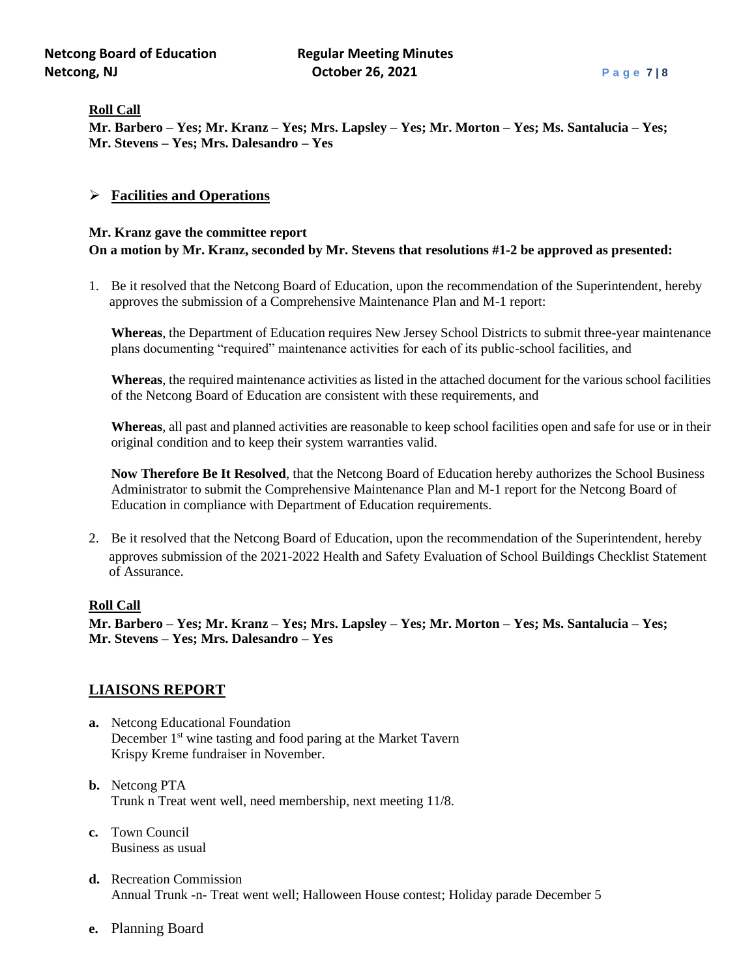#### **Roll Call**

**Mr. Barbero – Yes; Mr. Kranz – Yes; Mrs. Lapsley – Yes; Mr. Morton – Yes; Ms. Santalucia – Yes; Mr. Stevens – Yes; Mrs. Dalesandro – Yes**

#### ➢ **Facilities and Operations**

### **Mr. Kranz gave the committee report On a motion by Mr. Kranz, seconded by Mr. Stevens that resolutions #1-2 be approved as presented:**

1. Be it resolved that the Netcong Board of Education, upon the recommendation of the Superintendent, hereby approves the submission of a Comprehensive Maintenance Plan and M-1 report:

**Whereas**, the Department of Education requires New Jersey School Districts to submit three-year maintenance plans documenting "required" maintenance activities for each of its public-school facilities, and

**Whereas**, the required maintenance activities as listed in the attached document for the various school facilities of the Netcong Board of Education are consistent with these requirements, and

**Whereas**, all past and planned activities are reasonable to keep school facilities open and safe for use or in their original condition and to keep their system warranties valid.

**Now Therefore Be It Resolved**, that the Netcong Board of Education hereby authorizes the School Business Administrator to submit the Comprehensive Maintenance Plan and M-1 report for the Netcong Board of Education in compliance with Department of Education requirements.

2. Be it resolved that the Netcong Board of Education, upon the recommendation of the Superintendent, hereby approves submission of the 2021-2022 Health and Safety Evaluation of School Buildings Checklist Statement of Assurance.

#### **Roll Call**

**Mr. Barbero – Yes; Mr. Kranz – Yes; Mrs. Lapsley – Yes; Mr. Morton – Yes; Ms. Santalucia – Yes; Mr. Stevens – Yes; Mrs. Dalesandro – Yes**

## **LIAISONS REPORT**

- **a.** Netcong Educational Foundation December 1<sup>st</sup> wine tasting and food paring at the Market Tavern Krispy Kreme fundraiser in November.
- **b.** Netcong PTA Trunk n Treat went well, need membership, next meeting 11/8.
- **c.** Town Council Business as usual
- **d.** Recreation Commission Annual Trunk -n- Treat went well; Halloween House contest; Holiday parade December 5
- **e.** Planning Board